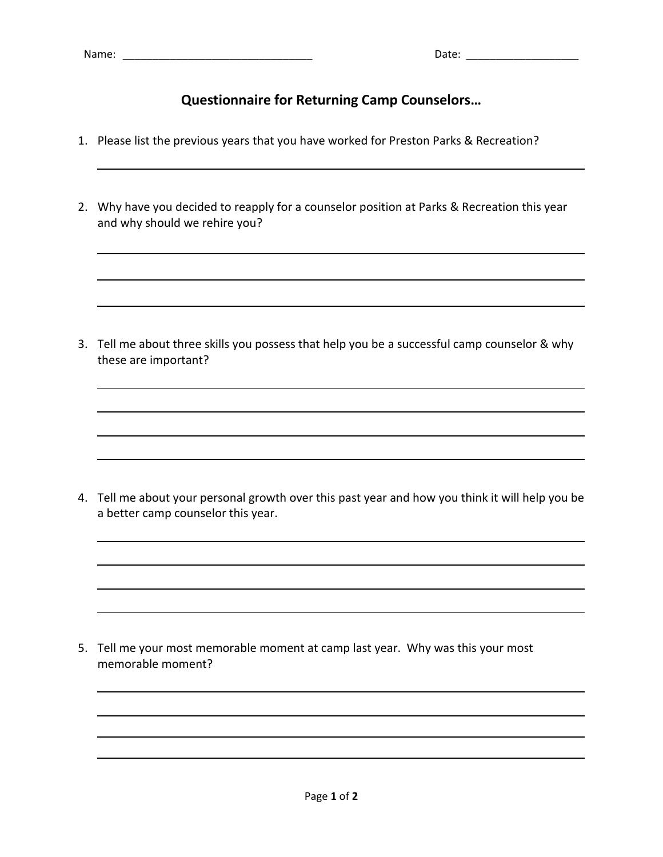## **Questionnaire for Returning Camp Counselors…**

- 1. Please list the previous years that you have worked for Preston Parks & Recreation?
- 2. Why have you decided to reapply for a counselor position at Parks & Recreation this year and why should we rehire you?

3. Tell me about three skills you possess that help you be a successful camp counselor & why these are important?

4. Tell me about your personal growth over this past year and how you think it will help you be a better camp counselor this year.

5. Tell me your most memorable moment at camp last year. Why was this your most memorable moment?